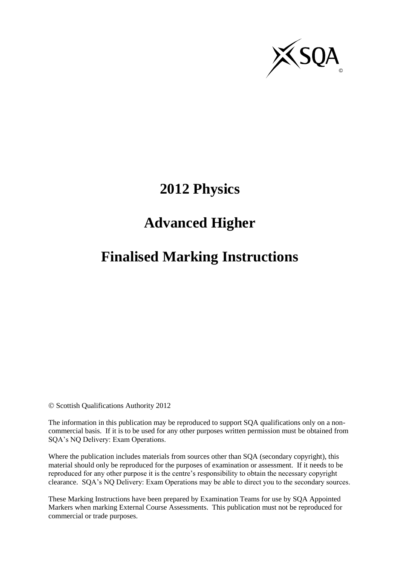

# **2012 Physics**

# **Advanced Higher**

# **Finalised Marking Instructions**

© Scottish Qualifications Authority 2012

The information in this publication may be reproduced to support SQA qualifications only on a noncommercial basis. If it is to be used for any other purposes written permission must be obtained from SQA's NQ Delivery: Exam Operations.

Where the publication includes materials from sources other than SQA (secondary copyright), this material should only be reproduced for the purposes of examination or assessment. If it needs to be reproduced for any other purpose it is the centre's responsibility to obtain the necessary copyright clearance. SQA's NQ Delivery: Exam Operations may be able to direct you to the secondary sources.

These Marking Instructions have been prepared by Examination Teams for use by SQA Appointed Markers when marking External Course Assessments. This publication must not be reproduced for commercial or trade purposes.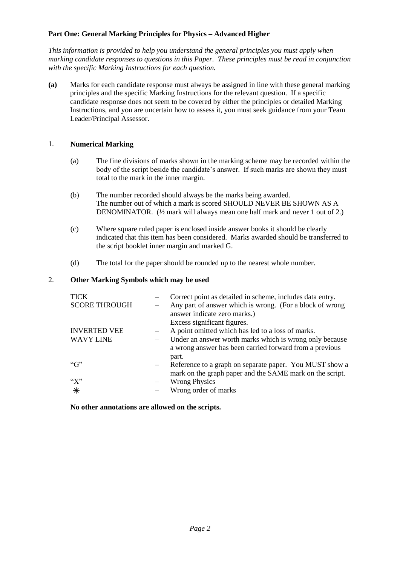## **Part One: General Marking Principles for Physics – Advanced Higher**

*This information is provided to help you understand the general principles you must apply when marking candidate responses to questions in this Paper. These principles must be read in conjunction with the specific Marking Instructions for each question.* 

**(a)** Marks for each candidate response must always be assigned in line with these general marking principles and the specific Marking Instructions for the relevant question. If a specific candidate response does not seem to be covered by either the principles or detailed Marking Instructions, and you are uncertain how to assess it, you must seek guidance from your Team Leader/Principal Assessor.

### 1. **Numerical Marking**

- (a) The fine divisions of marks shown in the marking scheme may be recorded within the body of the script beside the candidate's answer. If such marks are shown they must total to the mark in the inner margin.
- (b) The number recorded should always be the marks being awarded. The number out of which a mark is scored SHOULD NEVER BE SHOWN AS A DENOMINATOR. (½ mark will always mean one half mark and never 1 out of 2.)
- (c) Where square ruled paper is enclosed inside answer books it should be clearly indicated that this item has been considered. Marks awarded should be transferred to the script booklet inner margin and marked G.
- (d) The total for the paper should be rounded up to the nearest whole number.

## 2. **Other Marking Symbols which may be used**

| <b>TICK</b><br><b>SCORE THROUGH</b>     | Correct point as detailed in scheme, includes data entry.<br>Any part of answer which is wrong. (For a block of wrong<br>answer indicate zero marks.) |
|-----------------------------------------|-------------------------------------------------------------------------------------------------------------------------------------------------------|
| <b>INVERTED VEE</b><br><b>WAVY LINE</b> | Excess significant figures.<br>A point omitted which has led to a loss of marks.<br>Under an answer worth marks which is wrong only because           |
| ``G"                                    | a wrong answer has been carried forward from a previous<br>part.<br>Reference to a graph on separate paper. You MUST show a                           |
| $\lq X$ "<br>$\ast$                     | mark on the graph paper and the SAME mark on the script.<br><b>Wrong Physics</b><br>Wrong order of marks                                              |

**No other annotations are allowed on the scripts.**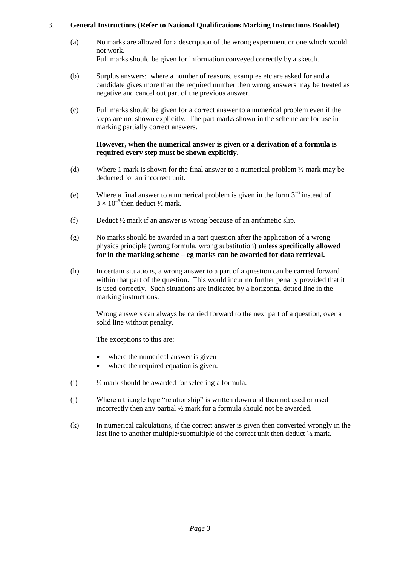## 3. **General Instructions (Refer to National Qualifications Marking Instructions Booklet)**

- (a) No marks are allowed for a description of the wrong experiment or one which would not work. Full marks should be given for information conveyed correctly by a sketch.
- (b) Surplus answers: where a number of reasons, examples etc are asked for and a candidate gives more than the required number then wrong answers may be treated as negative and cancel out part of the previous answer.
- (c) Full marks should be given for a correct answer to a numerical problem even if the steps are not shown explicitly. The part marks shown in the scheme are for use in marking partially correct answers.

#### **However, when the numerical answer is given or a derivation of a formula is required every step must be shown explicitly.**

- (d) Where 1 mark is shown for the final answer to a numerical problem ½ mark may be deducted for an incorrect unit.
- (e) Where a final answer to a numerical problem is given in the form  $3^{-6}$  instead of  $3 \times 10^{-6}$  then deduct  $\frac{1}{2}$  mark.
- (f) Deduct ½ mark if an answer is wrong because of an arithmetic slip.
- (g) No marks should be awarded in a part question after the application of a wrong physics principle (wrong formula, wrong substitution) **unless specifically allowed for in the marking scheme – eg marks can be awarded for data retrieval.**
- (h) In certain situations, a wrong answer to a part of a question can be carried forward within that part of the question. This would incur no further penalty provided that it is used correctly. Such situations are indicated by a horizontal dotted line in the marking instructions.

Wrong answers can always be carried forward to the next part of a question, over a solid line without penalty.

The exceptions to this are:

- where the numerical answer is given
- where the required equation is given.
- (i) ½ mark should be awarded for selecting a formula.
- (j) Where a triangle type "relationship" is written down and then not used or used incorrectly then any partial ½ mark for a formula should not be awarded.
- (k) In numerical calculations, if the correct answer is given then converted wrongly in the last line to another multiple/submultiple of the correct unit then deduct ½ mark.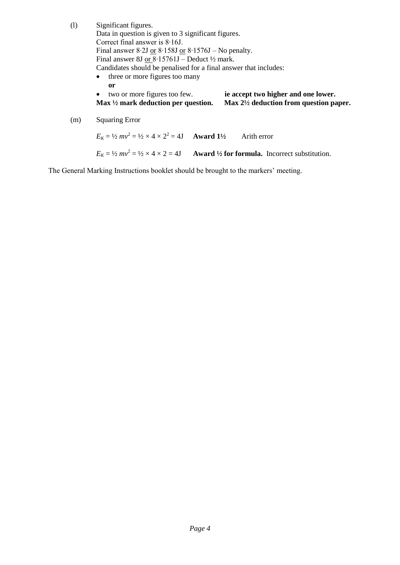| (1) | Significant figures.                                                                                                            |  |  |  |  |  |  |
|-----|---------------------------------------------------------------------------------------------------------------------------------|--|--|--|--|--|--|
|     | Data in question is given to 3 significant figures.                                                                             |  |  |  |  |  |  |
|     | Correct final answer is $8.16$ .                                                                                                |  |  |  |  |  |  |
|     | Final answer 8.2J or $8.158J$ or $8.1576J$ – No penalty.                                                                        |  |  |  |  |  |  |
|     | Final answer 8J or $8.15761J -$ Deduct $\frac{1}{2}$ mark.                                                                      |  |  |  |  |  |  |
|     | Candidates should be penalised for a final answer that includes:                                                                |  |  |  |  |  |  |
|     | • three or more figures too many                                                                                                |  |  |  |  |  |  |
|     | or                                                                                                                              |  |  |  |  |  |  |
|     | ie accept two higher and one lower.<br>two or more figures too few.<br>$\bullet$                                                |  |  |  |  |  |  |
|     | Max $\frac{1}{2}$ mark deduction per question.<br>Max $2\frac{1}{2}$ deduction from question paper.                             |  |  |  |  |  |  |
| (m) | <b>Squaring Error</b>                                                                                                           |  |  |  |  |  |  |
|     | $E_K = \frac{1}{2}mv^2 = \frac{1}{2} \times 4 \times 2^2 = 4J$ Award $1\frac{1}{2}$<br>Arith error                              |  |  |  |  |  |  |
|     | $E_k = \frac{1}{2}mv^2 = \frac{1}{2} \times 4 \times 2 = 4J$<br><b>Award</b> $\frac{1}{2}$ for formula. Incorrect substitution. |  |  |  |  |  |  |

The General Marking Instructions booklet should be brought to the markers' meeting.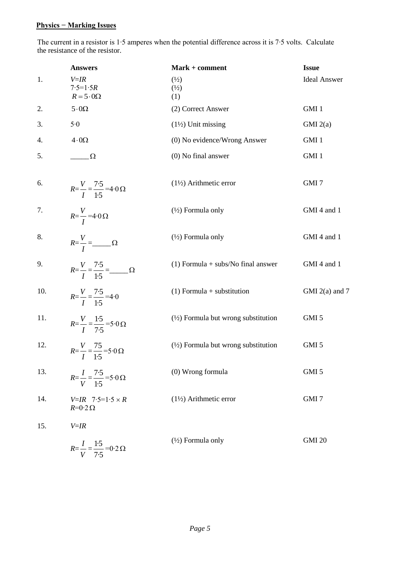## **Physics − Marking Issues**

The current in a resistor is 1∙5 amperes when the potential difference across it is 7∙5 volts. Calculate the resistance of the resistor.

| 1.<br>$V = IR$<br>$\binom{1}{2}$<br>$7.5 = 1.5R$<br>$\binom{1}{2}$<br>$R = 5.0\Omega$<br>(1)<br>2.<br>$5.0\Omega$<br>(2) Correct Answer<br>3.<br>5.0<br>$(1\frac{1}{2})$ Unit missing<br>$4\cdot 0\Omega$<br>(0) No evidence/Wrong Answer<br>4.<br>5.<br>$(0)$ No final answer<br>$\sqrt{2}$<br>$(1\frac{1}{2})$ Arithmetic error<br>6.<br>$R = \frac{V}{I} = \frac{7 \cdot 5}{1 \cdot 5} = 4 \cdot 0 \Omega$<br>7.<br>$(\frac{1}{2})$ Formula only<br>$R=\frac{V}{I}$ =4.0 $\Omega$ | <b>Ideal Answer</b> |
|--------------------------------------------------------------------------------------------------------------------------------------------------------------------------------------------------------------------------------------------------------------------------------------------------------------------------------------------------------------------------------------------------------------------------------------------------------------------------------------|---------------------|
|                                                                                                                                                                                                                                                                                                                                                                                                                                                                                      |                     |
|                                                                                                                                                                                                                                                                                                                                                                                                                                                                                      | GMI 1               |
|                                                                                                                                                                                                                                                                                                                                                                                                                                                                                      | GMI(2(a)            |
|                                                                                                                                                                                                                                                                                                                                                                                                                                                                                      | GMI 1               |
|                                                                                                                                                                                                                                                                                                                                                                                                                                                                                      | GMI 1               |
|                                                                                                                                                                                                                                                                                                                                                                                                                                                                                      | GMI 7               |
|                                                                                                                                                                                                                                                                                                                                                                                                                                                                                      | GMI 4 and 1         |
| 8.<br>$(\frac{1}{2})$ Formula only<br>$R=\frac{V}{I}=\_\_\_$                                                                                                                                                                                                                                                                                                                                                                                                                         | GMI 4 and 1         |
| 9.<br>$(1)$ Formula + subs/No final answer<br>$R = \frac{V}{I} = \frac{7.5}{1.5} = \_$                                                                                                                                                                                                                                                                                                                                                                                               | GMI 4 and 1         |
| 10.<br>$(1)$ Formula + substitution<br>$R=\frac{V}{I}=\frac{7.5}{1.5}=4.0$                                                                                                                                                                                                                                                                                                                                                                                                           | GMI $2(a)$ and 7    |
| $(\frac{1}{2})$ Formula but wrong substitution<br>11.<br>$R=\frac{V}{I}=\frac{1.5}{7.5}=5.0 \Omega$                                                                                                                                                                                                                                                                                                                                                                                  | GMI 5               |
| 12.<br>$(\frac{1}{2})$ Formula but wrong substitution<br>$R = \frac{V}{I} = \frac{75}{1.5} = 5.0 \Omega$                                                                                                                                                                                                                                                                                                                                                                             | GMI <sub>5</sub>    |
| 13.<br>(0) Wrong formula<br>$R = \frac{I}{V} = \frac{7 \cdot 5}{1 \cdot 5} = 5 \cdot 0 \Omega$                                                                                                                                                                                                                                                                                                                                                                                       | GMI 5               |
| 14.<br>$(1\frac{1}{2})$ Arithmetic error<br>$V=IR$ 7.5=1.5 $\times R$<br>$R=0.2 \Omega$                                                                                                                                                                                                                                                                                                                                                                                              | GMI <sub>7</sub>    |
| 15.<br>$V = IR$<br>$(\frac{1}{2})$ Formula only<br>$R = \frac{I}{V} = \frac{1.5}{7.5} = 0.2 \Omega$                                                                                                                                                                                                                                                                                                                                                                                  |                     |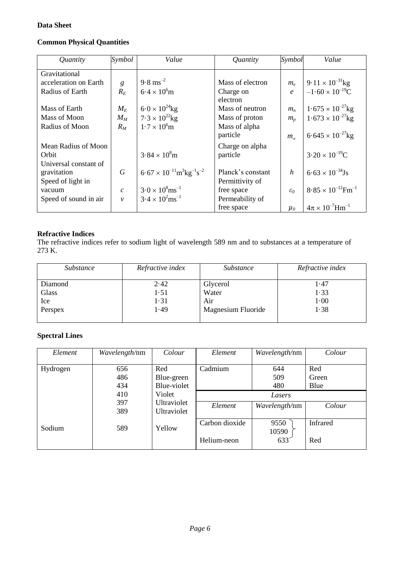## **Data Sheet**

# **Common Physical Quantities**

| Quantity              | Symbol                      | Value                                                          | Quantity          | Symbol           | Value                                   |
|-----------------------|-----------------------------|----------------------------------------------------------------|-------------------|------------------|-----------------------------------------|
| Gravitational         |                             |                                                                |                   |                  |                                         |
| acceleration on Earth | g                           | $9.8 \text{ ms}^{-2}$                                          | Mass of electron  | $m_e$            | $9.11 \times 10^{-31}$ kg               |
| Radius of Earth       | $R_E$                       | $6.4 \times 10^{6}$ m                                          | Charge on         | $\boldsymbol{e}$ | $-1.60 \times 10^{-19}$ C               |
|                       |                             |                                                                | electron          |                  |                                         |
| Mass of Earth         | $M_E$                       | $6.0 \times 10^{24}$ kg                                        | Mass of neutron   | $m_n$            | $1.675 \times 10^{-27}$ kg              |
| Mass of Moon          | $M_M$                       | $7.3 \times 10^{22}$ kg                                        | Mass of proton    | $m_{p}$          | $1.673 \times 10^{-27}$ kg              |
| Radius of Moon        | $R_M$                       | $1.7 \times 10^{6}$ m                                          | Mass of alpha     |                  |                                         |
|                       |                             |                                                                | particle          | $m_{\infty}$     | $6.645 \times 10^{-27}$ kg              |
| Mean Radius of Moon   |                             |                                                                | Charge on alpha   |                  |                                         |
| Orbit                 |                             | $3.84 \times 10^8$ m                                           | particle          |                  | $3.20 \times 10^{-19}$ C                |
| Universal constant of |                             |                                                                |                   |                  |                                         |
| gravitation           | $\boldsymbol{G}$            | $6.67 \times 10^{-11} \text{m}^3 \text{kg}^{-1} \text{s}^{-2}$ | Planck's constant | $\boldsymbol{h}$ | $6.63 \times 10^{-34}$ Js               |
| Speed of light in     |                             |                                                                | Permittivity of   |                  |                                         |
| vacuum                | $\mathcal{C}_{\mathcal{C}}$ | $3.0 \times 10^8$ ms <sup>-1</sup>                             | free space        | $\varepsilon_0$  | $8.85 \times 10^{-12}$ Fm <sup>-1</sup> |
| Speed of sound in air | $\mathcal{V}$               | $3.4 \times 10^{2}$ ms <sup>-1</sup>                           | Permeability of   |                  |                                         |
|                       |                             |                                                                | free space        | $\mu_0$          | $4\pi \times 10^{-7}$ Hm <sup>-1</sup>  |

### **Refractive Indices**

The refractive indices refer to sodium light of wavelength 589 nm and to substances at a temperature of 273 K.

| Substance | Refractive index | Substance          | Refractive index |
|-----------|------------------|--------------------|------------------|
| Diamond   | 2.42             | Glycerol           | 1.47             |
| Glass     | 1.51             | Water              | 1.33             |
| Ice       | 1.31             | Air                | $1-00$           |
| Perspex   | 1.49             | Magnesium Fluoride | 1.38             |
|           |                  |                    |                  |

## **Spectral Lines**

| Element  | Wavelength/nm | Colour                     | Element        | Wavelength/nm | Colour          |
|----------|---------------|----------------------------|----------------|---------------|-----------------|
|          |               |                            |                |               |                 |
| Hydrogen | 656           | Red                        | Cadmium        | 644           | Red             |
|          | 486           | Blue-green                 |                | 509           | Green           |
|          | 434           | Blue-violet                |                | 480           | Blue            |
|          | 410           | Violet                     |                | Lasers        |                 |
|          | 397<br>389    | Ultraviolet<br>Ultraviolet | Element        | Wavelength/nm | Colour          |
| Sodium   | 589           | Yellow                     | Carbon dioxide | 9550<br>10590 | <b>Infrared</b> |
|          |               |                            | Helium-neon    | 633           | Red             |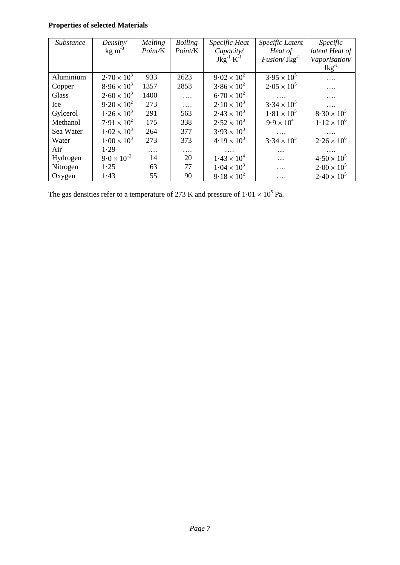# **Properties of selected Materials**

| <i>Substance</i> | Density/              | Melting | <b>Boiling</b> | Specific Heat        | Specific Latent       | <i>Specific</i>      |
|------------------|-----------------------|---------|----------------|----------------------|-----------------------|----------------------|
|                  | $kg \, \text{m}^{-3}$ | Point/K | Point/K        | Capacity/            | Heat of               | latent Heat of       |
|                  |                       |         |                | $Jkg^{-1} K^{-1}$    | $Fusion/$ J $kg^{-1}$ | Vaporisation/        |
|                  |                       |         |                |                      |                       | $Jkg^{-1}$           |
| Aluminium        | $2.70 \times 10^{3}$  | 933     | 2623           | $9.02 \times 10^{2}$ | $3.95 \times 10^{5}$  |                      |
| Copper           | $8.96 \times 10^{3}$  | 1357    | 2853           | $3.86 \times 10^{2}$ | $2.05 \times 10^{5}$  | .                    |
| Glass            | $2.60 \times 10^3$    | 1400    | .              | $6.70 \times 10^{2}$ |                       |                      |
| Ice              | $9.20 \times 10^{2}$  | 273     | .              | $2.10 \times 10^{3}$ | $3.34 \times 10^{5}$  |                      |
| Gylcerol         | $1.26 \times 10^3$    | 291     | 563            | $2.43 \times 10^{3}$ | $1.81 \times 10^{5}$  | $8.30 \times 10^{5}$ |
| Methanol         | $7.91 \times 10^{2}$  | 175     | 338            | $2.52 \times 10^3$   | $9.9 \times 10^{4}$   | $1.12 \times 10^{6}$ |
| Sea Water        | $1.02 \times 10^{3}$  | 264     | 377            | $3.93 \times 10^{3}$ |                       |                      |
| Water            | $1.00 \times 10^3$    | 273     | 373            | $4.19 \times 10^{3}$ | $3.34 \times 10^{5}$  | $2.26 \times 10^{6}$ |
| Air              | 1.29                  | .       | .              |                      | $\cdots$              |                      |
| Hydrogen         | $9.0 \times 10^{-2}$  | 14      | 20             | $1.43 \times 10^{4}$ |                       | $4.50 \times 10^{5}$ |
| Nitrogen         | 1.25                  | 63      | 77             | $1.04 \times 10^{3}$ | .                     | $2.00 \times 10^5$   |
| Oxygen           | 1.43                  | 55      | 90             | $9.18 \times 10^{2}$ | .                     | $2.40 \times 10^5$   |

The gas densities refer to a temperature of 273 K and pressure of  $1.01 \times 10^5$  Pa.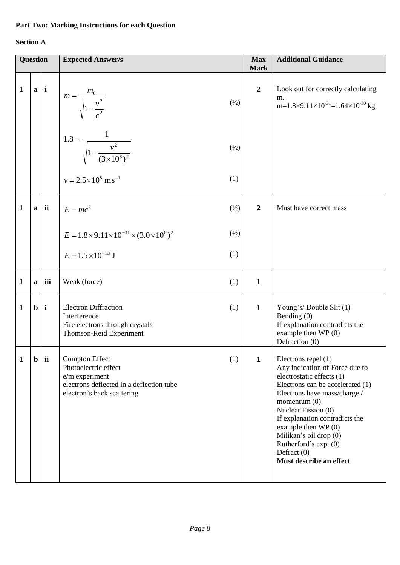## **Part Two: Marking Instructions for each Question**

# **Section A**

|              | <b>Question</b> |              | <b>Expected Answer/s</b>                                                                                                                  |                 | <b>Max</b><br><b>Mark</b> | <b>Additional Guidance</b>                                                                                                                                                                                                                                                                                                                               |
|--------------|-----------------|--------------|-------------------------------------------------------------------------------------------------------------------------------------------|-----------------|---------------------------|----------------------------------------------------------------------------------------------------------------------------------------------------------------------------------------------------------------------------------------------------------------------------------------------------------------------------------------------------------|
| $\mathbf{1}$ |                 | $a \mid i$   | $m = \frac{m_0}{\sqrt{1 - \frac{v^2}{c^2}}}$                                                                                              | $\binom{1}{2}$  | $\boldsymbol{2}$          | Look out for correctly calculating<br>m.<br>m= $1.8\times9.11\times10^{-31}$ = $1.64\times10^{-30}$ kg                                                                                                                                                                                                                                                   |
|              |                 |              | .<br>$1.8 = \frac{1}{\sqrt{1 - \frac{v^2}{(3 \times 10^8)^2}}}$                                                                           | $(\frac{1}{2})$ |                           |                                                                                                                                                                                                                                                                                                                                                          |
|              |                 |              | $v = 2.5 \times 10^8$ ms <sup>-1</sup>                                                                                                    | (1)             |                           |                                                                                                                                                                                                                                                                                                                                                          |
| $\mathbf{1}$ |                 | $a$ ii       | $E = mc^2$                                                                                                                                | $\binom{1}{2}$  | $\boldsymbol{2}$          | Must have correct mass                                                                                                                                                                                                                                                                                                                                   |
|              |                 |              | $E = 1.8 \times 9.11 \times 10^{-31} \times (3.0 \times 10^8)^2$                                                                          | $\binom{1}{2}$  |                           |                                                                                                                                                                                                                                                                                                                                                          |
|              |                 |              | $E = 1.5 \times 10^{-13}$ J                                                                                                               | (1)             |                           |                                                                                                                                                                                                                                                                                                                                                          |
| 1            | a               | iii          | Weak (force)                                                                                                                              | (1)             | $\mathbf{1}$              |                                                                                                                                                                                                                                                                                                                                                          |
| 1            | $\mathbf b$     | $\mathbf{i}$ | <b>Electron Diffraction</b><br>Interference<br>Fire electrons through crystals<br>Thomson-Reid Experiment                                 | (1)             | $\mathbf{1}$              | Young's/ Double Slit (1)<br>Bending $(0)$<br>If explanation contradicts the<br>example then $WP(0)$<br>Defraction (0)                                                                                                                                                                                                                                    |
| $\mathbf{1}$ | $\mathbf b$     | ii           | <b>Compton Effect</b><br>Photoelectric effect<br>e/m experiment<br>electrons deflected in a deflection tube<br>electron's back scattering | (1)             | $\mathbf{1}$              | Electrons repel (1)<br>Any indication of Force due to<br>electrostatic effects (1)<br>Electrons can be accelerated (1)<br>Electrons have mass/charge /<br>momentum $(0)$<br>Nuclear Fission (0)<br>If explanation contradicts the<br>example then $WP(0)$<br>Milikan's oil drop (0)<br>Rutherford's expt (0)<br>Defract $(0)$<br>Must describe an effect |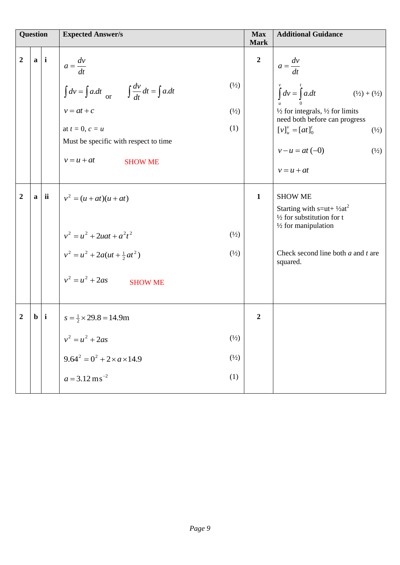| <b>Question</b> |                  |              | <b>Expected Answer/s</b>                                                              | <b>Max</b><br><b>Mark</b> | <b>Additional Guidance</b>                                                                             |
|-----------------|------------------|--------------|---------------------------------------------------------------------------------------|---------------------------|--------------------------------------------------------------------------------------------------------|
| $\overline{2}$  | $\mathbf{a}$     | $\mathbf{i}$ | $a = \frac{dv}{dt}$                                                                   | $\boldsymbol{2}$          | $a = \frac{dv}{dt}$                                                                                    |
|                 |                  |              | $(\frac{1}{2})$<br>$\int dv = \int a \, dt$ or $\int \frac{dv}{dt} dt = \int a \, dt$ |                           | $\int u^v = \int a \, dt$<br>$(\frac{1}{2}) + (\frac{1}{2})$                                           |
|                 |                  |              | $v = at + c$<br>$\binom{1}{2}$                                                        |                           | $\frac{1}{2}$ for integrals, $\frac{1}{2}$ for limits<br>need both before can progress                 |
|                 |                  |              | (1)<br>at $t = 0, c = u$                                                              |                           | $[v]_{u}^{v} = [at]_{0}^{t}$<br>$(\frac{1}{2})$                                                        |
|                 |                  |              | Must be specific with respect to time                                                 |                           | $v - u = at (-0)$<br>$\binom{1}{2}$                                                                    |
|                 |                  |              | $v = u + at$<br><b>SHOW ME</b>                                                        |                           | $v = u + at$                                                                                           |
| $\overline{2}$  | $\mathbf{a}$     | ii           | $v^{2} = (u + at)(u + at)$                                                            | $\mathbf{1}$              | <b>SHOW ME</b>                                                                                         |
|                 |                  |              |                                                                                       |                           | Starting with $s=ut+1/2at^2$<br>$\frac{1}{2}$ for substitution for t<br>$\frac{1}{2}$ for manipulation |
|                 |                  |              | $v^2 = u^2 + 2uat + a^2t^2$<br>$(\frac{1}{2})$                                        |                           |                                                                                                        |
|                 |                  |              | $v^2 = u^2 + 2a(ut + \frac{1}{2}at^2)$<br>$(\frac{1}{2})$                             |                           | Check second line both $a$ and $t$ are<br>squared.                                                     |
|                 |                  |              | $v^2 = u^2 + 2as$<br><b>SHOW ME</b>                                                   |                           |                                                                                                        |
| 2               | $\mathbf{b}$   i |              | $s = \frac{1}{2} \times 29.8 = 14.9$ m                                                | $\overline{2}$            |                                                                                                        |
|                 |                  |              | $(\frac{1}{2})$<br>$v^2 = u^2 + 2as$                                                  |                           |                                                                                                        |
|                 |                  |              | $9.64^2 = 0^2 + 2 \times a \times 14.9$<br>$\binom{1}{2}$                             |                           |                                                                                                        |
|                 |                  |              | (1)<br>$a = 3.12 \text{ ms}^{-2}$                                                     |                           |                                                                                                        |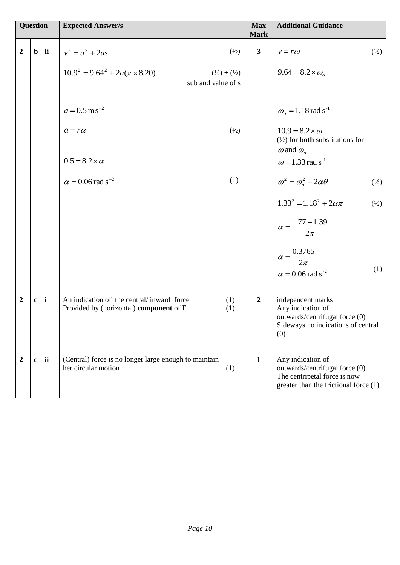|                  | <b>Question</b> |              | <b>Expected Answer/s</b>                                                             |                                 | <b>Max</b><br><b>Mark</b> | <b>Additional Guidance</b>                                                                                                   |                |
|------------------|-----------------|--------------|--------------------------------------------------------------------------------------|---------------------------------|---------------------------|------------------------------------------------------------------------------------------------------------------------------|----------------|
| $\overline{2}$   | $\mathbf b$     | ii           | $v^2 = u^2 + 2as$                                                                    | $\binom{1}{2}$                  | $\mathbf{3}$              | $v = r\omega$                                                                                                                | $\binom{1}{2}$ |
|                  |                 |              | $10.9^2 = 9.64^2 + 2a(\pi \times 8.20)$<br>sub and value of s                        | $(\frac{1}{2}) + (\frac{1}{2})$ |                           | $9.64 = 8.2 \times \omega_{0}$                                                                                               |                |
|                  |                 |              | $a = 0.5$ ms <sup>-2</sup>                                                           |                                 |                           | $\omega_{o} = 1.18 \text{ rad s}^{-1}$                                                                                       |                |
|                  |                 |              | $a = r\alpha$                                                                        | $(\frac{1}{2})$                 |                           | $10.9 = 8.2 \times \omega$<br>$(\frac{1}{2})$ for <b>both</b> substitutions for<br>$\omega$ and $\omega$ <sub>o</sub>        |                |
|                  |                 |              | $0.5 = 8.2 \times \alpha$                                                            |                                 |                           | $\omega$ = 1.33 rad s <sup>-1</sup>                                                                                          |                |
|                  |                 |              | $\alpha$ = 0.06 rad s <sup>-2</sup>                                                  | (1)                             |                           | $\omega^2 = \omega_0^2 + 2\alpha\theta$                                                                                      | $\binom{1}{2}$ |
|                  |                 |              |                                                                                      |                                 |                           | $1.33^2 = 1.18^2 + 2\alpha\pi$                                                                                               | $\binom{1}{2}$ |
|                  |                 |              |                                                                                      |                                 |                           | $\alpha = \frac{1.77 - 1.39}{2\pi}$                                                                                          |                |
|                  |                 |              |                                                                                      |                                 |                           | $\alpha = \frac{0.3765}{2\pi}$<br>$\alpha$ = 0.06 rad s <sup>-2</sup>                                                        | (1)            |
| $\boldsymbol{2}$ | $\mathbf{c}$    | $\mathbf{i}$ | An indication of the central/inward force<br>Provided by (horizontal) component of F | (1)<br>(1)                      | $\boldsymbol{2}$          | independent marks<br>Any indication of<br>outwards/centrifugal force (0)<br>Sideways no indications of central<br>(0)        |                |
| $\boldsymbol{2}$ | $\mathbf c$     | ii           | (Central) force is no longer large enough to maintain<br>her circular motion         | (1)                             | $\mathbf{1}$              | Any indication of<br>outwards/centrifugal force (0)<br>The centripetal force is now<br>greater than the frictional force (1) |                |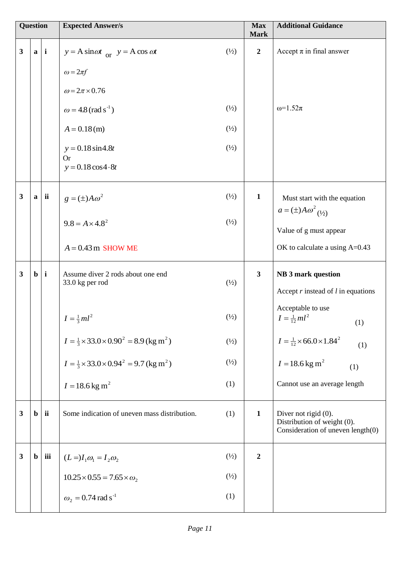| <b>Question</b>         |                  |            | <b>Expected Answer/s</b>                                               |                 | <b>Max</b><br><b>Mark</b> | <b>Additional Guidance</b>                                                               |
|-------------------------|------------------|------------|------------------------------------------------------------------------|-----------------|---------------------------|------------------------------------------------------------------------------------------|
| $\overline{\mathbf{3}}$ |                  | $a \mid i$ | $y = A \sin \omega t$ or $y = A \cos \omega t$<br>$\omega = 2\pi f$    | $(\frac{1}{2})$ | $\boldsymbol{2}$          | Accept $\pi$ in final answer                                                             |
|                         |                  |            | $\omega = 2\pi \times 0.76$<br>$\omega = 4.8$ (rad s <sup>-1</sup> )   | $(\frac{1}{2})$ |                           | $ω=1.52π$                                                                                |
|                         |                  |            | $A = 0.18$ (m)                                                         | $\binom{1}{2}$  |                           |                                                                                          |
|                         |                  |            | $y = 0.18 \sin 4.8t$<br><b>Or</b><br>$y = 0.18 \cos 4.8t$              | $(\frac{1}{2})$ |                           |                                                                                          |
| $\mathbf{3}$            |                  | $a$ ii     | $g = (\pm) A \omega^2$                                                 | $(\frac{1}{2})$ | $\mathbf{1}$              | Must start with the equation<br>$a = (\pm) A \omega^2_{(\frac{1}{2})}$                   |
|                         |                  |            | $9.8 = A \times 4.8^2$                                                 | $(\frac{1}{2})$ |                           | Value of g must appear                                                                   |
|                         |                  |            | $A = 0.43$ m SHOW ME                                                   |                 |                           | OK to calculate a using A=0.43                                                           |
| $\mathbf{3}$            | $\mathbf{b}$   i |            | Assume diver 2 rods about one end<br>33.0 kg per rod                   | $\binom{1}{2}$  | $\mathbf{3}$              | <b>NB</b> 3 mark question<br>Accept $r$ instead of $l$ in equations                      |
|                         |                  |            | $I = \frac{1}{3}ml^2$                                                  | $(\frac{1}{2})$ |                           | Acceptable to use<br>$I = \frac{1}{12}ml^2$<br>(1)                                       |
|                         |                  |            | $I = \frac{1}{3} \times 33.0 \times 0.90^2 = 8.9$ (kg m <sup>2</sup> ) | $(\frac{1}{2})$ |                           | $I = \frac{1}{12} \times 66.0 \times 1.84^2$<br>(1)                                      |
|                         |                  |            | $I = \frac{1}{3} \times 33.0 \times 0.94^2 = 9.7$ (kg m <sup>2</sup> ) | $\binom{1}{2}$  |                           | $I = 18.6$ kg m <sup>2</sup><br>(1)                                                      |
|                         |                  |            | $I = 18.6$ kg m <sup>2</sup>                                           | (1)             |                           | Cannot use an average length                                                             |
| $\mathbf{3}$            | $\mathbf b$      | ii         | Some indication of uneven mass distribution.                           | (1)             | $\mathbf{1}$              | Diver not rigid (0).<br>Distribution of weight (0).<br>Consideration of uneven length(0) |
| $\mathbf{3}$            | $\mathbf{b}$     | iii        | $(L=)I_1\omega_1=I_2\omega_2$                                          | $(\frac{1}{2})$ | $\boldsymbol{2}$          |                                                                                          |
|                         |                  |            | $10.25 \times 0.55 = 7.65 \times \omega_2$                             | $(\frac{1}{2})$ |                           |                                                                                          |
|                         |                  |            | $\omega_2 = 0.74$ rad s <sup>-1</sup>                                  | (1)             |                           |                                                                                          |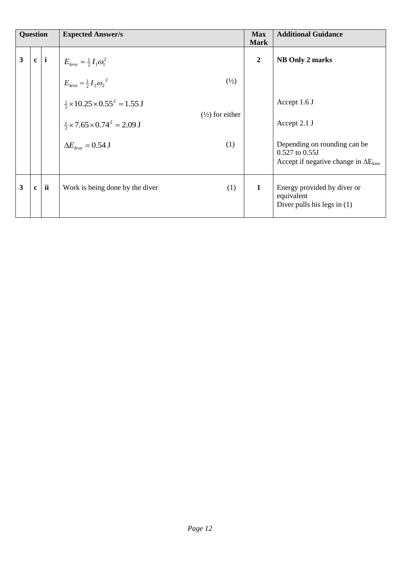| <b>Question</b> |              |              | <b>Expected Answer/s</b>                           |                            | <b>Max</b><br><b>Mark</b> | <b>Additional Guidance</b>                                                                       |
|-----------------|--------------|--------------|----------------------------------------------------|----------------------------|---------------------------|--------------------------------------------------------------------------------------------------|
| 3               | $\mathbf{c}$ | $\mathbf{i}$ | $E_{krot} = \frac{1}{2} I_1 \omega_1^2$            |                            | $\overline{2}$            | NB Only 2 marks                                                                                  |
|                 |              |              | $E_{krot} = \frac{1}{2} I_2 \omega_2^2$            | $\binom{1}{2}$             |                           |                                                                                                  |
|                 |              |              | $\frac{1}{2}$ × 10.25 × 0.55 <sup>2</sup> = 1.55 J |                            |                           | Accept 1.6 J                                                                                     |
|                 |              |              | $\frac{1}{2}$ × 7.65 × 0.74 <sup>2</sup> = 2.09 J  | $(\frac{1}{2})$ for either |                           | Accept 2.1 J                                                                                     |
|                 |              |              | $\Delta E_{krot} = 0.54$ J                         | (1)                        |                           | Depending on rounding can be<br>0.527 to 0.55J<br>Accept if negative change in $\Delta E_{krot}$ |
| 3               | $\mathbf{c}$ | ii           | Work is being done by the diver                    | (1)                        | 1                         | Energy provided by diver or<br>equivalent<br>Diver pulls his legs in $(1)$                       |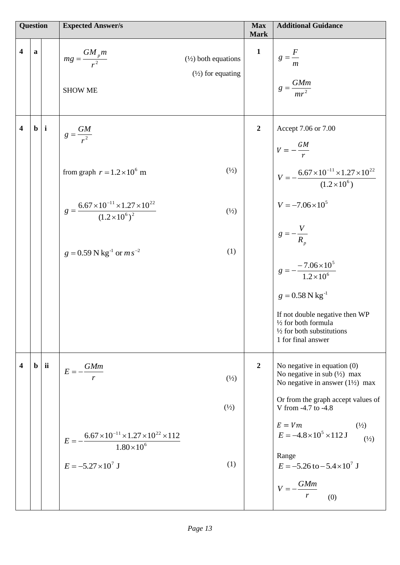| <b>Question</b>         |   |                  | <b>Expected Answer/s</b>                                                                                                |                                                                | <b>Max</b><br><b>Mark</b> | <b>Additional Guidance</b>                                                                                                                                                     |
|-------------------------|---|------------------|-------------------------------------------------------------------------------------------------------------------------|----------------------------------------------------------------|---------------------------|--------------------------------------------------------------------------------------------------------------------------------------------------------------------------------|
| $\overline{\mathbf{4}}$ | a |                  | $mg = \frac{GM_p m}{r^2}$<br><b>SHOW ME</b>                                                                             | $(\frac{1}{2})$ both equations<br>$(\frac{1}{2})$ for equating | $\mathbf{1}$              | $g=\frac{F}{m}$<br>$g = \frac{GMm}{mr^2}$                                                                                                                                      |
| $\overline{\mathbf{4}}$ |   | $\mathbf{b}$   i | $g=\frac{GM}{r^2}$                                                                                                      |                                                                | $\boldsymbol{2}$          | Accept 7.06 or 7.00<br>$V=-\frac{GM}{r}$                                                                                                                                       |
|                         |   |                  | from graph $r = 1.2 \times 10^6$ m                                                                                      | $(\frac{1}{2})$                                                |                           | $V = -\frac{6.67 \times 10^{-11} \times 1.27 \times 10^{22}}{(1.2 \times 10^6)}$                                                                                               |
|                         |   |                  | $g = \frac{6.67 \times 10^{-11} \times 1.27 \times 10^{22}}{(1.2 \times 10^6)^2}$                                       | $(\frac{1}{2})$                                                |                           | $V = -7.06 \times 10^5$                                                                                                                                                        |
|                         |   |                  | $g = 0.59$ N kg <sup>-1</sup> or $ms^{-2}$                                                                              | (1)                                                            |                           | $g=-\frac{V}{R_{p}}$<br>$g = -\frac{-7.06 \times 10^5}{1.2 \times 10^6}$                                                                                                       |
|                         |   |                  |                                                                                                                         |                                                                |                           | $g = 0.58 \text{ N kg}^{-1}$<br>If not double negative then WP<br>$\frac{1}{2}$ for both formula<br>$\frac{1}{2}$ for both substitutions<br>1 for final answer                 |
| 4                       |   | $\mathbf{b}$ ii  | $E = -\frac{GMm}{m}$<br>r                                                                                               | $(\frac{1}{2})$                                                | $\overline{2}$            | No negative in equation $(0)$<br>No negative in sub $(\frac{1}{2})$ max<br>No negative in answer $(1\frac{1}{2})$ max                                                          |
|                         |   |                  |                                                                                                                         | $\binom{1}{2}$                                                 |                           | Or from the graph accept values of<br>V from -4.7 to -4.8                                                                                                                      |
|                         |   |                  | $E = -\frac{6.67 \times 10^{-11} \times 1.27 \times 10^{22} \times 112}{1.80 \times 10^6}$<br>$E = -5.27 \times 10^7$ J | (1)                                                            |                           | $E=Vm$<br>$(\frac{1}{2})$<br>$E = -4.8 \times 10^5 \times 112 \text{ J}$<br>$\binom{1}{2}$<br>Range<br>$E = -5.26$ to $-5.4 \times 10^7$ J<br>$V = -\frac{GMm}{r}$<br>r<br>(0) |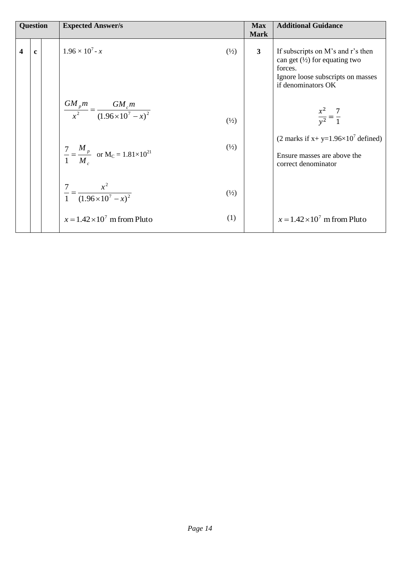|   | <b>Question</b> | <b>Expected Answer/s</b>                                                                    | <b>Max</b><br><b>Mark</b> | <b>Additional Guidance</b>                                                                                                                          |
|---|-----------------|---------------------------------------------------------------------------------------------|---------------------------|-----------------------------------------------------------------------------------------------------------------------------------------------------|
| 4 | $\mathbf{c}$    | $1.96 \times 10^7$ - x<br>$\binom{1}{2}$                                                    | $\mathbf{3}$              | If subscripts on M's and r's then<br>can get $(\frac{1}{2})$ for equating two<br>forces.<br>Ignore loose subscripts on masses<br>if denominators OK |
|   |                 | $\frac{GM_{p}m}{x^{2}} = \frac{GM_{c}m}{(1.96 \times 10^{7} - x)^{2}}$<br>$\binom{1}{2}$    |                           | $\frac{x^2}{y^2} = \frac{7}{1}$                                                                                                                     |
|   |                 | $\binom{1}{2}$<br>$\frac{7}{1} = \frac{M_p}{M_c}$ or M <sub>C</sub> = 1.81×10 <sup>21</sup> |                           | (2 marks if x+ y= $1.96 \times 10^7$ defined)<br>Ensure masses are above the<br>correct denominator                                                 |
|   |                 | $\frac{7}{1} = \frac{x^2}{(1.96 \times 10^7 - x)^2}$<br>$\binom{1}{2}$                      |                           |                                                                                                                                                     |
|   |                 | (1)<br>$x = 1.42 \times 10^7$ m from Pluto                                                  |                           | $x = 1.42 \times 10^7$ m from Pluto                                                                                                                 |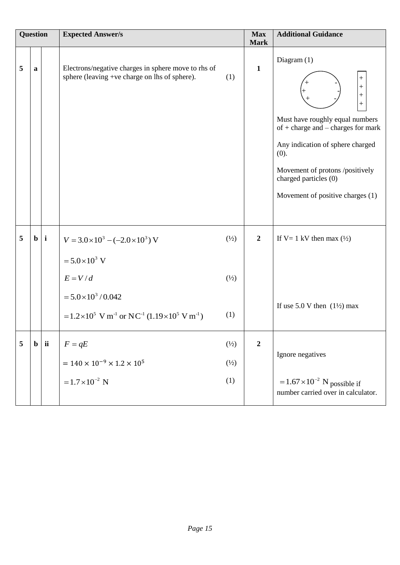| Question |             |                  | <b>Expected Answer/s</b>                                                                             |                 | <b>Max</b><br><b>Mark</b> | <b>Additional Guidance</b>                                                                                                                                                                                                                                                               |  |
|----------|-------------|------------------|------------------------------------------------------------------------------------------------------|-----------------|---------------------------|------------------------------------------------------------------------------------------------------------------------------------------------------------------------------------------------------------------------------------------------------------------------------------------|--|
| 5        | a           |                  | Electrons/negative charges in sphere move to rhs of<br>sphere (leaving +ve charge on lhs of sphere). | (1)             | $\mathbf{1}$              | Diagram (1)<br>$\, +$<br>$^{+}$<br>$^{+}$<br>$\hspace{0.1mm} +$<br>Must have roughly equal numbers<br>of $+$ charge and $-$ charges for mark<br>Any indication of sphere charged<br>(0).<br>Movement of protons /positively<br>charged particles (0)<br>Movement of positive charges (1) |  |
| 5        |             | $\mathbf{b}$   i | $V = 3.0 \times 10^3 - (-2.0 \times 10^3)$ V                                                         | $\binom{1}{2}$  | $\overline{2}$            | If V= 1 kV then max $(\frac{1}{2})$                                                                                                                                                                                                                                                      |  |
|          |             |                  | $= 5.0 \times 10^3$ V                                                                                |                 |                           |                                                                                                                                                                                                                                                                                          |  |
|          |             |                  | $E = V/d$                                                                                            | $\binom{1}{2}$  |                           |                                                                                                                                                                                                                                                                                          |  |
|          |             |                  | $= 5.0 \times 10^3 / 0.042$                                                                          |                 |                           | If use $5.0$ V then $(1\frac{1}{2})$ max                                                                                                                                                                                                                                                 |  |
|          |             |                  | = $1.2 \times 10^5$ V m <sup>-1</sup> or NC <sup>-1</sup> (1.19 $\times 10^5$ V m <sup>-1</sup> )    | (1)             |                           |                                                                                                                                                                                                                                                                                          |  |
| 5        | $\mathbf b$ | ii               | $F = qE$                                                                                             | $(\frac{1}{2})$ | $\boldsymbol{2}$          |                                                                                                                                                                                                                                                                                          |  |
|          |             |                  | $= 140 \times 10^{-9} \times 1.2 \times 10^{5}$                                                      | $\binom{1}{2}$  |                           | Ignore negatives                                                                                                                                                                                                                                                                         |  |
|          |             |                  | $=1.7\times10^{-2}$ N                                                                                | (1)             |                           | $=1.67\times10^{-2}$ N possible if<br>number carried over in calculator.                                                                                                                                                                                                                 |  |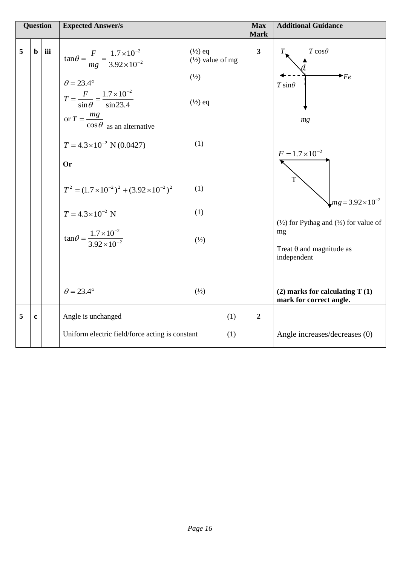| <b>Question</b> |             |     | <b>Expected Answer/s</b>                                                                                                                                                                                                                                                                                                                                                                                                                          |                                                                                                                                    | <b>Max</b><br><b>Mark</b> | <b>Additional Guidance</b>                                                                                                                                                                                                                |
|-----------------|-------------|-----|---------------------------------------------------------------------------------------------------------------------------------------------------------------------------------------------------------------------------------------------------------------------------------------------------------------------------------------------------------------------------------------------------------------------------------------------------|------------------------------------------------------------------------------------------------------------------------------------|---------------------------|-------------------------------------------------------------------------------------------------------------------------------------------------------------------------------------------------------------------------------------------|
| 5               | $\mathbf b$ | iii | $\tan\theta = \frac{F}{mg} = \frac{1.7 \times 10^{-2}}{3.92 \times 10^{-2}}$<br>$\theta = 23.4^{\circ}$<br>$T = \frac{F}{\sin \theta} = \frac{1.7 \times 10^{-2}}{\sin 23.4}$<br>or $T = \frac{mg}{\cos \theta}$ as an alternative<br>$T = 4.3 \times 10^{-2}$ N (0.0427)<br><b>Or</b><br>$T^2 = (1.7 \times 10^{-2})^2 + (3.92 \times 10^{-2})^2$<br>$T = 4.3 \times 10^{-2}$ N<br>$\tan\theta = \frac{1.7 \times 10^{-2}}{3.92 \times 10^{-2}}$ | $(\frac{1}{2})$ eq<br>$(\frac{1}{2})$ value of mg<br>$(\frac{1}{2})$<br>$(\frac{1}{2})$ eq<br>(1)<br>(1)<br>(1)<br>$(\frac{1}{2})$ | $\overline{\mathbf{3}}$   | $T\cos\theta$<br>$\bigstar_{Fe}$<br>$T \sin\theta$<br>mg<br>$F = 1.7 \times 10^{-2}$<br>$mg = 3.92 \times 10^{-2}$<br>$(\frac{1}{2})$ for Pythag and $(\frac{1}{2})$ for value of<br>mg<br>Treat $\theta$ and magnitude as<br>independent |
|                 |             |     | $\theta = 23.4^{\circ}$                                                                                                                                                                                                                                                                                                                                                                                                                           | $(\frac{1}{2})$                                                                                                                    |                           | $(2)$ marks for calculating T $(1)$<br>mark for correct angle.                                                                                                                                                                            |
| 5               | $\mathbf c$ |     | Angle is unchanged                                                                                                                                                                                                                                                                                                                                                                                                                                | (1)                                                                                                                                | $\boldsymbol{2}$          |                                                                                                                                                                                                                                           |
|                 |             |     | Uniform electric field/force acting is constant                                                                                                                                                                                                                                                                                                                                                                                                   | (1)                                                                                                                                |                           | Angle increases/decreases (0)                                                                                                                                                                                                             |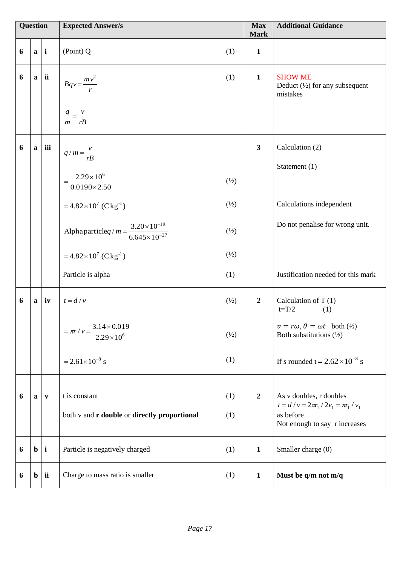| <b>Question</b> |              |              | <b>Expected Answer/s</b>                                                 |                | <b>Max</b><br><b>Mark</b> | <b>Additional Guidance</b>                                                                             |
|-----------------|--------------|--------------|--------------------------------------------------------------------------|----------------|---------------------------|--------------------------------------------------------------------------------------------------------|
| 6               | $\mathbf{a}$ | $\mathbf{i}$ | (Point) Q                                                                | (1)            | $\mathbf{1}$              |                                                                                                        |
| 6               | $\mathbf{a}$ | ii           | $Bqv = \frac{mv^2}{r}$                                                   | (1)            | $\mathbf{1}$              | <b>SHOW ME</b><br>Deduct $(\frac{1}{2})$ for any subsequent<br>mistakes                                |
|                 |              |              | $\frac{q}{m} = \frac{v}{rB}$                                             |                |                           |                                                                                                        |
| 6               | a            | iii          | $q/m = \frac{v}{rB}$                                                     |                | $\mathbf{3}$              | Calculation (2)                                                                                        |
|                 |              |              |                                                                          |                |                           | Statement (1)                                                                                          |
|                 |              |              | $2.29 \times 10^{6}$<br>$0.0190 \times 2.50$                             | $\binom{1}{2}$ |                           |                                                                                                        |
|                 |              |              | $=4.82\times10^{7}$ (Ckg <sup>-1</sup> )                                 | $\binom{1}{2}$ |                           | Calculations independent                                                                               |
|                 |              |              | Alphaparticleq/ $m = \frac{3.20 \times 10^{-19}}{6.645 \times 10^{-27}}$ | $\binom{1}{2}$ |                           | Do not penalise for wrong unit.                                                                        |
|                 |              |              | $=4.82\times10^{7}$ (Ckg <sup>-1</sup> )                                 | $\binom{1}{2}$ |                           |                                                                                                        |
|                 |              |              | Particle is alpha                                                        | (1)            |                           | Justification needed for this mark                                                                     |
| 6               | a            | iv           | $t = d/v$                                                                | $\binom{1}{2}$ | $\boldsymbol{2}$          | Calculation of $T(1)$<br>$t=T/2$<br>(1)                                                                |
|                 |              |              | $=\pi r/v = \frac{3.14 \times 0.019}{2.29 \times 10^6}$                  | $\binom{1}{2}$ |                           | $v = r\omega, \theta = \omega t$ both $\left(\frac{1}{2}\right)$<br>Both substitutions $(\frac{1}{2})$ |
|                 |              |              | $= 2.61 \times 10^{-8}$ s                                                | (1)            |                           | If s rounded t = $2.62 \times 10^{-8}$ s                                                               |
| 6               | a            | $\mathbf{v}$ | t is constant                                                            | (1)            | $\overline{2}$            | As v doubles, r doubles                                                                                |
|                 |              |              |                                                                          |                |                           | $t = d / v = 2\pi r_1 / 2v_1 = \pi r_1 / v_1$                                                          |
|                 |              |              | both v and r double or directly proportional                             | (1)            |                           | as before<br>Not enough to say r increases                                                             |
| 6               | $\mathbf b$  | $\mathbf{i}$ | Particle is negatively charged                                           | (1)            | $\mathbf{1}$              | Smaller charge (0)                                                                                     |
| 6               | $\mathbf b$  | ii           | Charge to mass ratio is smaller                                          | (1)            | $\mathbf{1}$              | Must be $q/m$ not m/q                                                                                  |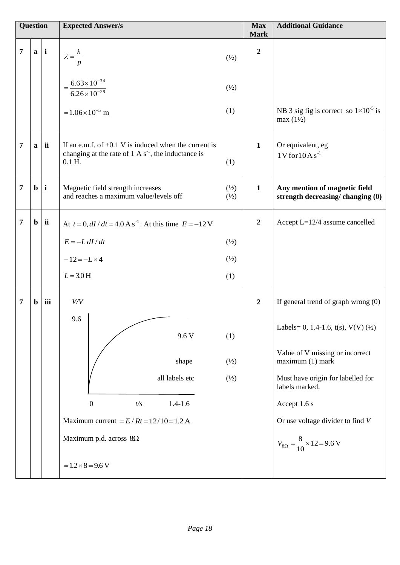| <b>Question</b> |              |                  | <b>Expected Answer/s</b>                                                                                                                   |                                  | <b>Max</b><br><b>Mark</b> | <b>Additional Guidance</b>                                            |
|-----------------|--------------|------------------|--------------------------------------------------------------------------------------------------------------------------------------------|----------------------------------|---------------------------|-----------------------------------------------------------------------|
| $\overline{7}$  |              | $a \mid i$       | $\lambda = \frac{h}{\sqrt{2}}$<br>p                                                                                                        | $\binom{1}{2}$                   | $\overline{2}$            |                                                                       |
|                 |              |                  | $=\frac{6.63\times10^{-34}}{6.26\times10^{-29}}$                                                                                           | $\binom{1}{2}$                   |                           |                                                                       |
|                 |              |                  | $=1.06\times10^{-5}$ m                                                                                                                     | (1)                              |                           | NB 3 sig fig is correct so $1\times10^{-5}$ is<br>$max(1\frac{1}{2})$ |
| 7               | $\mathbf{a}$ | ii               | If an e.m.f. of $\pm 0.1$ V is induced when the current is<br>changing at the rate of $1 \text{ A s}^{-1}$ , the inductance is<br>$0.1$ H. | (1)                              | $\mathbf{1}$              | Or equivalent, eg<br>$1V$ for $10As^{-1}$                             |
| $\overline{7}$  |              | $\mathbf{b}$   i | Magnetic field strength increases<br>and reaches a maximum value/levels off                                                                | $\binom{1}{2}$<br>$\binom{1}{2}$ | $\mathbf{1}$              | Any mention of magnetic field<br>strength decreasing/changing (0)     |
| $\overline{7}$  |              | $\mathbf{b}$ ii  | At $t = 0$ , $dI/dt = 4.0$ A s <sup>-1</sup> . At this time $E = -12$ V                                                                    |                                  | $\overline{2}$            | Accept $L=12/4$ assume cancelled                                      |
|                 |              |                  | $E = -L \, dI / dt$                                                                                                                        | $\binom{1}{2}$                   |                           |                                                                       |
|                 |              |                  | $-12 = -L \times 4$                                                                                                                        | $\binom{1}{2}$                   |                           |                                                                       |
|                 |              |                  | $L = 3.0$ H                                                                                                                                | (1)                              |                           |                                                                       |
| 7               | $\mathbf b$  | iii              | V/V                                                                                                                                        |                                  | $\overline{2}$            | If general trend of graph wrong $(0)$                                 |
|                 |              |                  | 9.6<br>9.6 V                                                                                                                               | (1)                              |                           | Labels= 0, 1.4-1.6, $t(s)$ , $V(V)$ ( $\frac{1}{2}$ )                 |
|                 |              |                  | shape                                                                                                                                      | $\binom{1}{2}$                   |                           | Value of V missing or incorrect<br>maximum (1) mark                   |
|                 |              |                  | all labels etc                                                                                                                             | $\binom{1}{2}$                   |                           | Must have origin for labelled for<br>labels marked.                   |
|                 |              |                  | $\boldsymbol{0}$<br>t/s<br>$1.4 - 1.6$                                                                                                     |                                  |                           | Accept 1.6 s                                                          |
|                 |              |                  | Maximum current = $E/RT = 12/10 = 1.2$ A                                                                                                   |                                  |                           | Or use voltage divider to find $V$                                    |
|                 |              |                  | Maximum p.d. across $8\Omega$                                                                                                              |                                  |                           | $V_{8\Omega} = \frac{8}{10} \times 12 = 9.6 \text{ V}$                |
|                 |              |                  | $=1.2 \times 8 = 9.6 V$                                                                                                                    |                                  |                           |                                                                       |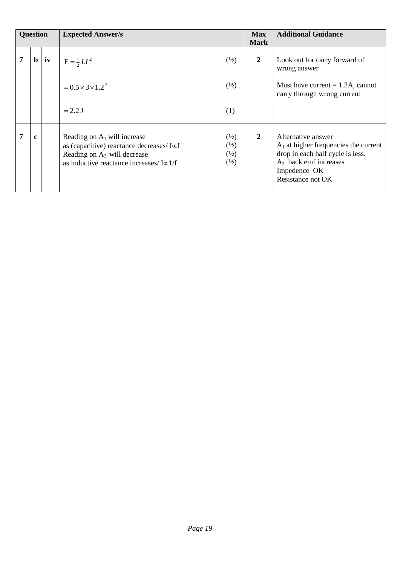| <b>Question</b> |             |    | <b>Expected Answer/s</b>                                                                                                                                                   |                                                                      | <b>Max</b><br><b>Mark</b> | <b>Additional Guidance</b>                                                                                                                                         |
|-----------------|-------------|----|----------------------------------------------------------------------------------------------------------------------------------------------------------------------------|----------------------------------------------------------------------|---------------------------|--------------------------------------------------------------------------------------------------------------------------------------------------------------------|
|                 | $\mathbf b$ | iv | $E = \frac{1}{2}LI^2$                                                                                                                                                      | $\binom{1}{2}$                                                       | $\mathbf{2}$              | Look out for carry forward of<br>wrong answer                                                                                                                      |
|                 |             |    | $=0.5\times3\times1.2^2$                                                                                                                                                   | $\binom{1}{2}$                                                       |                           | Must have current $= 1.2$ A, cannot<br>carry through wrong current                                                                                                 |
|                 |             |    | $= 2.2 J$                                                                                                                                                                  | (1)                                                                  |                           |                                                                                                                                                                    |
|                 | c           |    | Reading on $A_1$ will increase<br>as (capacitive) reactance decreases/I $\propto$ f<br>Reading on $A_2$ will decrease<br>as inductive reactance increases/ $I \propto 1/f$ | $\binom{1}{2}$<br>$\binom{1}{2}$<br>$\binom{1}{2}$<br>$\binom{1}{2}$ | $\overline{2}$            | Alternative answer<br>$A_1$ at higher frequencies the current<br>drop in each half cycle is less.<br>$A_2$ back emf increases<br>Impedence OK<br>Resistance not OK |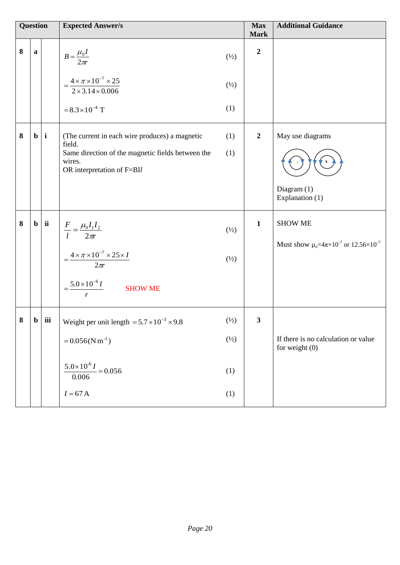| <b>Question</b> |             |                  | <b>Expected Answer/s</b>                                                                  |                 | <b>Max</b><br><b>Mark</b> | <b>Additional Guidance</b>                                        |
|-----------------|-------------|------------------|-------------------------------------------------------------------------------------------|-----------------|---------------------------|-------------------------------------------------------------------|
| 8               | $\mathbf a$ |                  | $B=\frac{\mu_0 I}{2\pi r}$                                                                | $\binom{1}{2}$  | $\boldsymbol{2}$          |                                                                   |
|                 |             |                  | $=\frac{4\times\pi\times10^{-7}\times25}{2\times3.14\times0.006}$                         | $\binom{1}{2}$  |                           |                                                                   |
|                 |             |                  | $= 8.3 \times 10^{-4}$ T                                                                  | (1)             |                           |                                                                   |
| 8               |             | $\mathbf{b}$   i | (The current in each wire produces) a magnetic<br>field.                                  | (1)             | $\overline{2}$            | May use diagrams                                                  |
|                 |             |                  | Same direction of the magnetic fields between the<br>wires.<br>OR interpretation of F=BIl | (1)             |                           |                                                                   |
|                 |             |                  |                                                                                           |                 |                           | Diagram $(1)$<br>Explanation (1)                                  |
| 8               | $\mathbf b$ | ii               | $\frac{F}{l} = \frac{\mu_0 I_1 I_2}{2\pi r}$                                              | $\binom{1}{2}$  | $\mathbf{1}$              | <b>SHOW ME</b>                                                    |
|                 |             |                  | $=\frac{4 \times \pi \times 10^{-7} \times 25 \times I}{2 \pi r}$                         | $(\frac{1}{2})$ |                           | Must show $\mu_0 = 4\pi \times 10^{-7}$ or 12.56×10 <sup>-7</sup> |
|                 |             |                  | $=\frac{5.0\times10^{-6}I}{\sqrt{2}}$<br><b>SHOW ME</b><br>r                              |                 |                           |                                                                   |
| 8               | $\mathbf b$ | $ $ iii          | Weight per unit length = $5.7 \times 10^{-3} \times 9.8$                                  | $(\frac{1}{2})$ | $\mathbf{3}$              |                                                                   |
|                 |             |                  | $= 0.056(N m^{-1})$                                                                       | $(\frac{1}{2})$ |                           | If there is no calculation or value<br>for weight $(0)$           |
|                 |             |                  | $5.0 \times 10^{-6} I$<br>$= 0.056$<br>0.006                                              | (1)             |                           |                                                                   |
|                 |             |                  | $I = 67$ A                                                                                | (1)             |                           |                                                                   |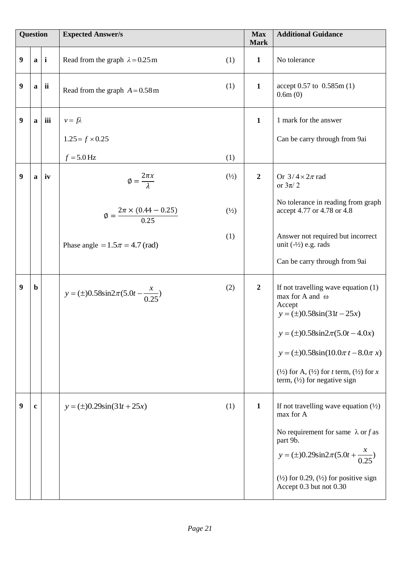|   | <b>Question</b> |             | <b>Expected Answer/s</b>                         |                | <b>Max</b><br><b>Mark</b> | <b>Additional Guidance</b>                                                                                          |
|---|-----------------|-------------|--------------------------------------------------|----------------|---------------------------|---------------------------------------------------------------------------------------------------------------------|
| 9 |                 | $a \mid i$  | Read from the graph $\lambda = 0.25$ m           | (1)            | $\mathbf{1}$              | No tolerance                                                                                                        |
| 9 | $\mathbf{a}$    | ii          | Read from the graph $A = 0.58$ m                 | (1)            | $\mathbf{1}$              | accept $0.57$ to $0.585$ m $(1)$<br>0.6m(0)                                                                         |
| 9 | $\mathbf{a}$    | iii         | $v = f\lambda$                                   |                | $\mathbf{1}$              | 1 mark for the answer                                                                                               |
|   |                 |             | $1.25 = f \times 0.25$                           |                |                           | Can be carry through from 9ai                                                                                       |
|   |                 |             | $f = 5.0$ Hz                                     | (1)            |                           |                                                                                                                     |
| 9 |                 | $a \mid iv$ | $\phi = \frac{2\pi x}{\lambda}$                  | $\binom{1}{2}$ | $\boldsymbol{2}$          | Or $3/4 \times 2\pi$ rad<br>or $3\pi/2$                                                                             |
|   |                 |             | $\phi = \frac{2\pi \times (0.44 - 0.25)}{0.25}$  | $\frac{1}{2}$  |                           | No tolerance in reading from graph<br>accept 4.77 or 4.78 or 4.8                                                    |
|   |                 |             | Phase angle = $1.5\pi$ = 4.7 (rad)               | (1)            |                           | Answer not required but incorrect<br>unit $(-1/2)$ e.g. rads                                                        |
|   |                 |             |                                                  |                |                           | Can be carry through from 9ai                                                                                       |
| 9 | $\mathbf b$     |             | $y = (\pm)0.58\sin 2\pi (5.0t - \frac{x}{0.25})$ | (2)            | $\overline{2}$            | If not travelling wave equation $(1)$<br>max for A and $\omega$<br>Accept<br>$y = (\pm)0.58\sin(31t - 25x)$         |
|   |                 |             |                                                  |                |                           | $y = (\pm)0.58\sin 2\pi (5.0t - 4.0x)$                                                                              |
|   |                 |             |                                                  |                |                           | $y = (\pm)0.58\sin(10.0\pi t - 8.0\pi x)$                                                                           |
|   |                 |             |                                                  |                |                           | $(\frac{1}{2})$ for A, $(\frac{1}{2})$ for t term, $(\frac{1}{2})$ for x<br>term, $(\frac{1}{2})$ for negative sign |
| 9 | $\bf c$         |             | $y = (\pm)0.29\sin(31t + 25x)$                   | (1)            | 1                         | If not travelling wave equation $(\frac{1}{2})$<br>max for A                                                        |
|   |                 |             |                                                  |                |                           | No requirement for same $\lambda$ or f as<br>part 9b.                                                               |
|   |                 |             |                                                  |                |                           | $y = (\pm)0.29\sin 2\pi (5.0t + \frac{x}{0.25})$                                                                    |
|   |                 |             |                                                  |                |                           | $(\frac{1}{2})$ for 0.29, $(\frac{1}{2})$ for positive sign<br>Accept 0.3 but not 0.30                              |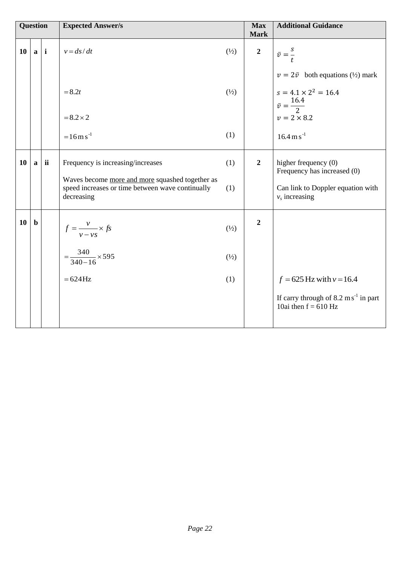| Question |              |    | <b>Expected Answer/s</b>                                                                                                                               |                                  | <b>Max</b><br><b>Mark</b> | <b>Additional Guidance</b>                                                                                     |
|----------|--------------|----|--------------------------------------------------------------------------------------------------------------------------------------------------------|----------------------------------|---------------------------|----------------------------------------------------------------------------------------------------------------|
| 10       | $a \mid i$   |    | $v = ds/dt$                                                                                                                                            | $\frac{1}{2}$                    | $\boldsymbol{2}$          | $\bar{v} = \frac{s}{t}$                                                                                        |
|          |              |    | $= 8.2t$                                                                                                                                               | $(\frac{1}{2})$                  |                           | $v = 2\bar{v}$ both equations (1/2) mark<br>$s = 4.1 \times 2^2 = 16.4$<br>$\bar{v} = \frac{16.4}{2}$          |
|          |              |    | $= 8.2 \times 2$<br>$=16$ m s <sup>-1</sup>                                                                                                            | (1)                              |                           | $v = 2 \times 8.2$<br>$16.4 \,\mathrm{m\,s}^{-1}$                                                              |
| 10       | $\mathbf{a}$ | ii | Frequency is increasing/increases<br>Waves become more and more squashed together as<br>speed increases or time between wave continually<br>decreasing | (1)<br>(1)                       | $\overline{2}$            | higher frequency $(0)$<br>Frequency has increased (0)<br>Can link to Doppler equation with<br>$v_s$ increasing |
| 10       | $\mathbf b$  |    | $f = \frac{v}{v - vs} \times fs$<br>$=\frac{340}{340-16} \times 595$                                                                                   | $\binom{1}{2}$<br>$\binom{1}{2}$ | $\overline{2}$            |                                                                                                                |
|          |              |    | $=624$ Hz                                                                                                                                              | (1)                              |                           | $f = 625$ Hz with $v = 16.4$<br>If carry through of $8.2 \text{ ms}^{-1}$ in part<br>10ai then $f = 610$ Hz    |